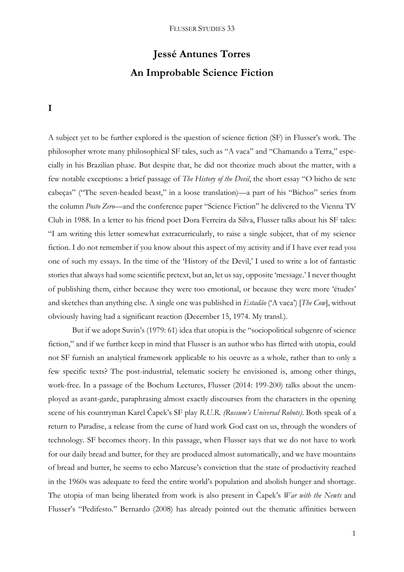# **Jessé Antunes Torres An Improbable Science Fiction**

**I**

A subject yet to be further explored is the question of science fiction (SF) in Flusser's work. The philosopher wrote many philosophical SF tales, such as "A vaca" and "Chamando a Terra," especially in his Brazilian phase. But despite that, he did not theorize much about the matter, with a few notable exceptions: a brief passage of *The History of the Devil*, the short essay "O bicho de sete cabeças" ("The seven-headed beast," in a loose translation)—a part of his "Bichos" series from the column *Posto Zero*—and the conference paper "Science Fiction" he delivered to the Vienna TV Club in 1988. In a letter to his friend poet Dora Ferreira da Silva, Flusser talks about his SF tales: "I am writing this letter somewhat extracurricularly, to raise a single subject, that of my science fiction. I do not remember if you know about this aspect of my activity and if I have ever read you one of such my essays. In the time of the 'History of the Devil,' I used to write a lot of fantastic stories that always had some scientific pretext, but an, let us say, opposite 'message.' I never thought of publishing them, either because they were too emotional, or because they were more 'études' and sketches than anything else. A single one was published in *Estadão* ('A vaca') [*The Cow*], without obviously having had a significant reaction (December 15, 1974. My transl.).

But if we adopt Suvin's (1979: 61) idea that utopia is the "sociopolitical subgenre of science fiction," and if we further keep in mind that Flusser is an author who has flirted with utopia, could not SF furnish an analytical framework applicable to his oeuvre as a whole, rather than to only a few specific texts? The post-industrial, telematic society he envisioned is, among other things, work-free. In a passage of the Bochum Lectures, Flusser (2014: 199-200) talks about the unemployed as avant-garde, paraphrasing almost exactly discourses from the characters in the opening scene of his countryman Karel Čapek's SF play *R.U.R. (Rossum's Universal Robots)*. Both speak of a return to Paradise, a release from the curse of hard work God cast on us, through the wonders of technology. SF becomes theory. In this passage, when Flusser says that we do not have to work for our daily bread and butter, for they are produced almost automatically, and we have mountains of bread and butter, he seems to echo Marcuse's conviction that the state of productivity reached in the 1960s was adequate to feed the entire world's population and abolish hunger and shortage. The utopia of man being liberated from work is also present in Čapek's *War with the Newts* and Flusser's "Pedifesto." Bernardo (2008) has already pointed out the thematic affinities between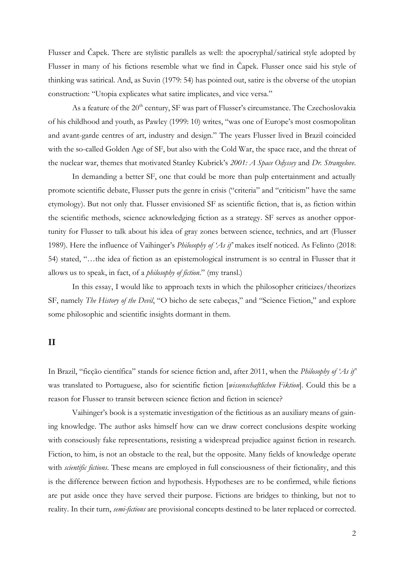Flusser and Čapek. There are stylistic parallels as well: the apocryphal/satirical style adopted by Flusser in many of his fictions resemble what we find in Čapek. Flusser once said his style of thinking was satirical. And, as Suvin (1979: 54) has pointed out, satire is the obverse of the utopian construction: "Utopia explicates what satire implicates, and vice versa."

As a feature of the 20<sup>th</sup> century, SF was part of Flusser's circumstance. The Czechoslovakia of his childhood and youth, as Pawley (1999: 10) writes, "was one of Europe's most cosmopolitan and avant-garde centres of art, industry and design." The years Flusser lived in Brazil coincided with the so-called Golden Age of SF, but also with the Cold War, the space race, and the threat of the nuclear war, themes that motivated Stanley Kubrick's *2001: A Space Odyssey* and *Dr. Strangelove*.

In demanding a better SF, one that could be more than pulp entertainment and actually promote scientific debate, Flusser puts the genre in crisis ("criteria" and "criticism" have the same etymology). But not only that. Flusser envisioned SF as scientific fiction, that is, as fiction within the scientific methods, science acknowledging fiction as a strategy. SF serves as another opportunity for Flusser to talk about his idea of gray zones between science, technics, and art (Flusser 1989). Here the influence of Vaihinger's *Philosophy of 'As if'* makes itself noticed. As Felinto (2018: 54) stated, "…the idea of fiction as an epistemological instrument is so central in Flusser that it allows us to speak, in fact, of a *philosophy of fiction*." (my transl.)

In this essay, I would like to approach texts in which the philosopher criticizes/theorizes SF, namely *The History of the Devil*, "O bicho de sete cabeças," and "Science Fiction," and explore some philosophic and scientific insights dormant in them.

## **II**

In Brazil, "ficção científica" stands for science fiction and, after 2011, when the *Philosophy of 'As if'* was translated to Portuguese, also for scientific fiction [*wissenschaftlichen Fiktion*]. Could this be a reason for Flusser to transit between science fiction and fiction in science?

Vaihinger's book is a systematic investigation of the fictitious as an auxiliary means of gaining knowledge. The author asks himself how can we draw correct conclusions despite working with consciously fake representations, resisting a widespread prejudice against fiction in research. Fiction, to him, is not an obstacle to the real, but the opposite. Many fields of knowledge operate with *scientific fictions*. These means are employed in full consciousness of their fictionality, and this is the difference between fiction and hypothesis. Hypotheses are to be confirmed, while fictions are put aside once they have served their purpose. Fictions are bridges to thinking, but not to reality. In their turn, *semi-fictions* are provisional concepts destined to be later replaced or corrected.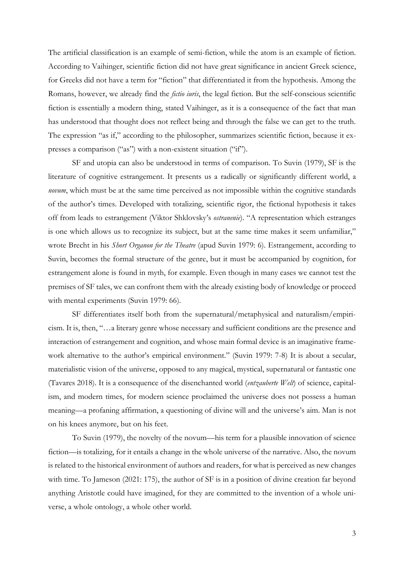The artificial classification is an example of semi-fiction, while the atom is an example of fiction. According to Vaihinger, scientific fiction did not have great significance in ancient Greek science, for Greeks did not have a term for "fiction" that differentiated it from the hypothesis. Among the Romans, however, we already find the *fictio iuris*, the legal fiction. But the self-conscious scientific fiction is essentially a modern thing, stated Vaihinger, as it is a consequence of the fact that man has understood that thought does not reflect being and through the false we can get to the truth. The expression "as if," according to the philosopher, summarizes scientific fiction, because it expresses a comparison ("as") with a non-existent situation ("if").

SF and utopia can also be understood in terms of comparison. To Suvin (1979), SF is the literature of cognitive estrangement. It presents us a radically or significantly different world, a *novum*, which must be at the same time perceived as not impossible within the cognitive standards of the author's times. Developed with totalizing, scientific rigor, the fictional hypothesis it takes off from leads to estrangement (Viktor Shklovsky's *ostranenie*). "A representation which estranges is one which allows us to recognize its subject, but at the same time makes it seem unfamiliar," wrote Brecht in his *Short Organon for the Theatre* (apud Suvin 1979: 6). Estrangement, according to Suvin, becomes the formal structure of the genre, but it must be accompanied by cognition, for estrangement alone is found in myth, for example. Even though in many cases we cannot test the premises of SF tales, we can confront them with the already existing body of knowledge or proceed with mental experiments (Suvin 1979: 66).

SF differentiates itself both from the supernatural/metaphysical and naturalism/empiricism. It is, then, "…a literary genre whose necessary and sufficient conditions are the presence and interaction of estrangement and cognition, and whose main formal device is an imaginative framework alternative to the author's empirical environment." (Suvin 1979: 7-8) It is about a secular, materialistic vision of the universe, opposed to any magical, mystical, supernatural or fantastic one (Tavares 2018). It is a consequence of the disenchanted world (*entzauberte Welt*) of science, capitalism, and modern times, for modern science proclaimed the universe does not possess a human meaning—a profaning affirmation, a questioning of divine will and the universe's aim. Man is not on his knees anymore, but on his feet.

To Suvin (1979), the novelty of the novum—his term for a plausible innovation of science fiction—is totalizing, for it entails a change in the whole universe of the narrative. Also, the novum is related to the historical environment of authors and readers, for what is perceived as new changes with time. To Jameson (2021: 175), the author of SF is in a position of divine creation far beyond anything Aristotle could have imagined, for they are committed to the invention of a whole universe, a whole ontology, a whole other world.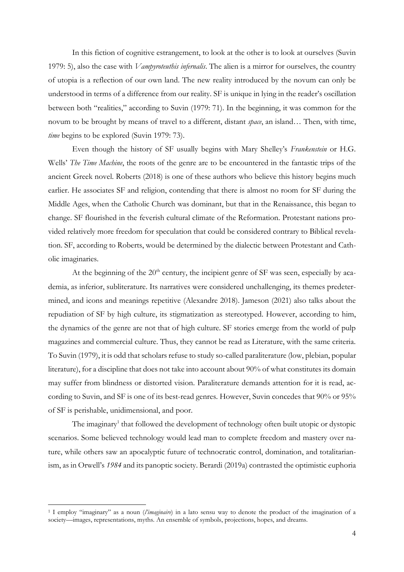In this fiction of cognitive estrangement, to look at the other is to look at ourselves (Suvin 1979: 5), also the case with *Vampyroteuthis infernalis*. The alien is a mirror for ourselves, the country of utopia is a reflection of our own land. The new reality introduced by the novum can only be understood in terms of a difference from our reality. SF is unique in lying in the reader's oscillation between both "realities," according to Suvin (1979: 71). In the beginning, it was common for the novum to be brought by means of travel to a different, distant *space*, an island… Then, with time, *time* begins to be explored (Suvin 1979: 73).

Even though the history of SF usually begins with Mary Shelley's *Frankenstein* or H.G. Wells' *The Time Machine*, the roots of the genre are to be encountered in the fantastic trips of the ancient Greek novel. Roberts (2018) is one of these authors who believe this history begins much earlier. He associates SF and religion, contending that there is almost no room for SF during the Middle Ages, when the Catholic Church was dominant, but that in the Renaissance, this began to change. SF flourished in the feverish cultural climate of the Reformation. Protestant nations provided relatively more freedom for speculation that could be considered contrary to Biblical revelation. SF, according to Roberts, would be determined by the dialectic between Protestant and Catholic imaginaries.

At the beginning of the  $20<sup>th</sup>$  century, the incipient genre of SF was seen, especially by academia, as inferior, subliterature. Its narratives were considered unchallenging, its themes predetermined, and icons and meanings repetitive (Alexandre 2018). Jameson (2021) also talks about the repudiation of SF by high culture, its stigmatization as stereotyped. However, according to him, the dynamics of the genre are not that of high culture. SF stories emerge from the world of pulp magazines and commercial culture. Thus, they cannot be read as Literature, with the same criteria. To Suvin (1979), it is odd that scholars refuse to study so-called paraliterature (low, plebian, popular literature), for a discipline that does not take into account about 90% of what constitutes its domain may suffer from blindness or distorted vision. Paraliterature demands attention for it is read, according to Suvin, and SF is one of its best-read genres. However, Suvin concedes that 90% or 95% of SF is perishable, unidimensional, and poor.

The imaginary<sup>1</sup> that followed the development of technology often built utopic or dystopic scenarios. Some believed technology would lead man to complete freedom and mastery over nature, while others saw an apocalyptic future of technocratic control, domination, and totalitarianism, as in Orwell's *1984* and its panoptic society. Berardi (2019a) contrasted the optimistic euphoria

 $\overline{a}$ 

<sup>1</sup> I employ "imaginary" as a noun (*l'imaginaire*) in a lato sensu way to denote the product of the imagination of a society—images, representations, myths. An ensemble of symbols, projections, hopes, and dreams.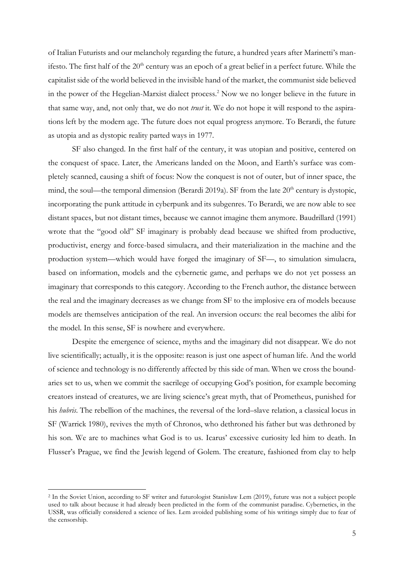of Italian Futurists and our melancholy regarding the future, a hundred years after Marinetti's manifesto. The first half of the  $20<sup>th</sup>$  century was an epoch of a great belief in a perfect future. While the capitalist side of the world believed in the invisible hand of the market, the communist side believed in the power of the Hegelian-Marxist dialect process.<sup>2</sup> Now we no longer believe in the future in that same way, and, not only that, we do not *trust* it. We do not hope it will respond to the aspirations left by the modern age. The future does not equal progress anymore. To Berardi, the future as utopia and as dystopic reality parted ways in 1977.

SF also changed. In the first half of the century, it was utopian and positive, centered on the conquest of space. Later, the Americans landed on the Moon, and Earth's surface was completely scanned, causing a shift of focus: Now the conquest is not of outer, but of inner space, the mind, the soul—the temporal dimension (Berardi 2019a). SF from the late  $20<sup>th</sup>$  century is dystopic, incorporating the punk attitude in cyberpunk and its subgenres. To Berardi, we are now able to see distant spaces, but not distant times, because we cannot imagine them anymore. Baudrillard (1991) wrote that the "good old" SF imaginary is probably dead because we shifted from productive, productivist, energy and force-based simulacra, and their materialization in the machine and the production system—which would have forged the imaginary of SF—, to simulation simulacra, based on information, models and the cybernetic game, and perhaps we do not yet possess an imaginary that corresponds to this category. According to the French author, the distance between the real and the imaginary decreases as we change from SF to the implosive era of models because models are themselves anticipation of the real. An inversion occurs: the real becomes the alibi for the model. In this sense, SF is nowhere and everywhere.

Despite the emergence of science, myths and the imaginary did not disappear. We do not live scientifically; actually, it is the opposite: reason is just one aspect of human life. And the world of science and technology is no differently affected by this side of man. When we cross the boundaries set to us, when we commit the sacrilege of occupying God's position, for example becoming creators instead of creatures, we are living science's great myth, that of Prometheus, punished for his *hubris*. The rebellion of the machines, the reversal of the lord–slave relation, a classical locus in SF (Warrick 1980), revives the myth of Chronos, who dethroned his father but was dethroned by his son. We are to machines what God is to us. Icarus' excessive curiosity led him to death. In Flusser's Prague, we find the Jewish legend of Golem. The creature, fashioned from clay to help

 $\overline{a}$ 

<sup>2</sup> In the Soviet Union, according to SF writer and futurologist Stanisław Lem (2019), future was not a subject people used to talk about because it had already been predicted in the form of the communist paradise. Cybernetics, in the USSR, was officially considered a science of lies. Lem avoided publishing some of his writings simply due to fear of the censorship.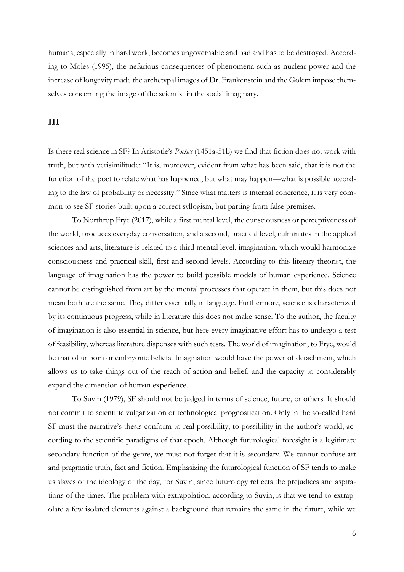humans, especially in hard work, becomes ungovernable and bad and has to be destroyed. According to Moles (1995), the nefarious consequences of phenomena such as nuclear power and the increase of longevity made the archetypal images of Dr. Frankenstein and the Golem impose themselves concerning the image of the scientist in the social imaginary.

#### **III**

Is there real science in SF? In Aristotle's *Poetics* (1451a-51b) we find that fiction does not work with truth, but with verisimilitude: "It is, moreover, evident from what has been said, that it is not the function of the poet to relate what has happened, but what may happen—what is possible according to the law of probability or necessity." Since what matters is internal coherence, it is very common to see SF stories built upon a correct syllogism, but parting from false premises.

To Northrop Frye (2017), while a first mental level, the consciousness or perceptiveness of the world, produces everyday conversation, and a second, practical level, culminates in the applied sciences and arts, literature is related to a third mental level, imagination, which would harmonize consciousness and practical skill, first and second levels. According to this literary theorist, the language of imagination has the power to build possible models of human experience. Science cannot be distinguished from art by the mental processes that operate in them, but this does not mean both are the same. They differ essentially in language. Furthermore, science is characterized by its continuous progress, while in literature this does not make sense. To the author, the faculty of imagination is also essential in science, but here every imaginative effort has to undergo a test of feasibility, whereas literature dispenses with such tests. The world of imagination, to Frye, would be that of unborn or embryonic beliefs. Imagination would have the power of detachment, which allows us to take things out of the reach of action and belief, and the capacity to considerably expand the dimension of human experience.

To Suvin (1979), SF should not be judged in terms of science, future, or others. It should not commit to scientific vulgarization or technological prognostication. Only in the so-called hard SF must the narrative's thesis conform to real possibility, to possibility in the author's world, according to the scientific paradigms of that epoch. Although futurological foresight is a legitimate secondary function of the genre, we must not forget that it is secondary. We cannot confuse art and pragmatic truth, fact and fiction. Emphasizing the futurological function of SF tends to make us slaves of the ideology of the day, for Suvin, since futurology reflects the prejudices and aspirations of the times. The problem with extrapolation, according to Suvin, is that we tend to extrapolate a few isolated elements against a background that remains the same in the future, while we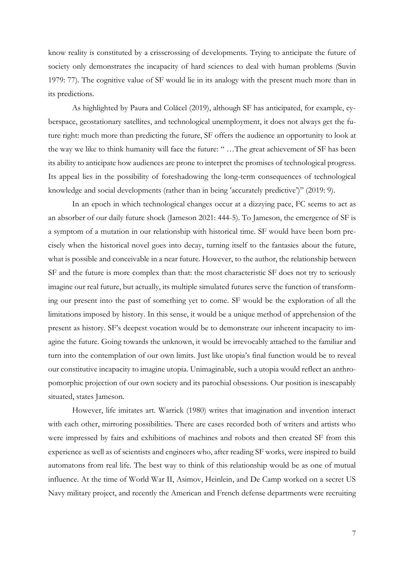know reality is constituted by a crisscrossing of developments. Trying to anticipate the future of society only demonstrates the incapacity of hard sciences to deal with human problems (Suvin 1979: 77). The cognitive value of SF would lie in its analogy with the present much more than in its predictions.

As highlighted by Paura and Colăcel (2019), although SF has anticipated, for example, cyberspace, geostationary satellites, and technological unemployment, it does not always get the future right: much more than predicting the future, SF offers the audience an opportunity to look at the way we like to think humanity will face the future: " …The great achievement of SF has been its ability to anticipate how audiences are prone to interpret the promises of technological progress. Its appeal lies in the possibility of foreshadowing the long-term consequences of technological knowledge and social developments (rather than in being 'accurately predictive')" (2019: 9).

In an epoch in which technological changes occur at a dizzying pace, FC seems to act as an absorber of our daily future shock (Jameson 2021: 444-5). To Jameson, the emergence of SF is a symptom of a mutation in our relationship with historical time. SF would have been born precisely when the historical novel goes into decay, turning itself to the fantasies about the future, what is possible and conceivable in a near future. However, to the author, the relationship between SF and the future is more complex than that: the most characteristic SF does not try to seriously imagine our real future, but actually, its multiple simulated futures serve the function of transforming our present into the past of something yet to come. SF would be the exploration of all the limitations imposed by history. In this sense, it would be a unique method of apprehension of the present as history. SF's deepest vocation would be to demonstrate our inherent incapacity to imagine the future. Going towards the unknown, it would be irrevocably attached to the familiar and turn into the contemplation of our own limits. Just like utopia's final function would be to reveal our constitutive incapacity to imagine utopia. Unimaginable, such a utopia would reflect an anthropomorphic projection of our own society and its parochial obsessions. Our position is inescapably situated, states Jameson.

However, life imitates art. Warrick (1980) writes that imagination and invention interact with each other, mirroring possibilities. There are cases recorded both of writers and artists who were impressed by fairs and exhibitions of machines and robots and then created SF from this experience as well as of scientists and engineers who, after reading SF works, were inspired to build automatons from real life. The best way to think of this relationship would be as one of mutual influence. At the time of World War II, Asimov, Heinlein, and De Camp worked on a secret US Navy military project, and recently the American and French defense departments were recruiting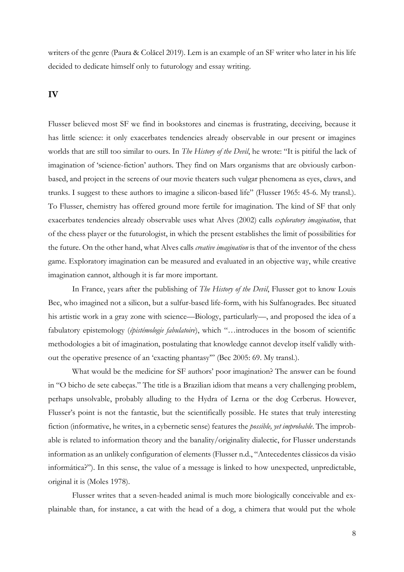writers of the genre (Paura & Colăcel 2019). Lem is an example of an SF writer who later in his life decided to dedicate himself only to futurology and essay writing.

#### **IV**

Flusser believed most SF we find in bookstores and cinemas is frustrating, deceiving, because it has little science: it only exacerbates tendencies already observable in our present or imagines worlds that are still too similar to ours. In *The History of the Devil*, he wrote: "It is pitiful the lack of imagination of 'science-fiction' authors. They find on Mars organisms that are obviously carbonbased, and project in the screens of our movie theaters such vulgar phenomena as eyes, claws, and trunks. I suggest to these authors to imagine a silicon-based life" (Flusser 1965: 45-6. My transl.). To Flusser, chemistry has offered ground more fertile for imagination. The kind of SF that only exacerbates tendencies already observable uses what Alves (2002) calls *exploratory imagination*, that of the chess player or the futurologist, in which the present establishes the limit of possibilities for the future. On the other hand, what Alves calls *creative imagination* is that of the inventor of the chess game. Exploratory imagination can be measured and evaluated in an objective way, while creative imagination cannot, although it is far more important.

In France, years after the publishing of *The History of the Devil*, Flusser got to know Louis Bec, who imagined not a silicon, but a sulfur-based life-form, with his Sulfanogrades. Bec situated his artistic work in a gray zone with science—Biology, particularly—, and proposed the idea of a fabulatory epistemology (*épistémologie fabulatoire*), which "…introduces in the bosom of scientific methodologies a bit of imagination, postulating that knowledge cannot develop itself validly without the operative presence of an 'exacting phantasy'" (Bec 2005: 69. My transl.).

What would be the medicine for SF authors' poor imagination? The answer can be found in "O bicho de sete cabeças." The title is a Brazilian idiom that means a very challenging problem, perhaps unsolvable, probably alluding to the Hydra of Lerna or the dog Cerberus. However, Flusser's point is not the fantastic, but the scientifically possible. He states that truly interesting fiction (informative, he writes, in a cybernetic sense) features the *possible, yet improbable*. The improbable is related to information theory and the banality/originality dialectic, for Flusser understands information as an unlikely configuration of elements (Flusser n.d., "Antecedentes clássicos da visão informática?"). In this sense, the value of a message is linked to how unexpected, unpredictable, original it is (Moles 1978).

Flusser writes that a seven-headed animal is much more biologically conceivable and explainable than, for instance, a cat with the head of a dog, a chimera that would put the whole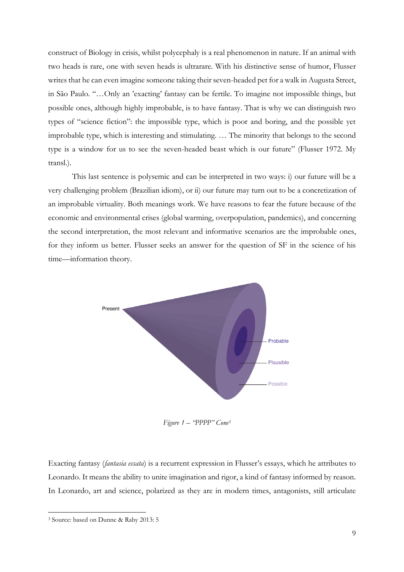construct of Biology in crisis, whilst polycephaly is a real phenomenon in nature. If an animal with two heads is rare, one with seven heads is ultrarare. With his distinctive sense of humor, Flusser writes that he can even imagine someone taking their seven-headed pet for a walk in Augusta Street, in São Paulo. "…Only an 'exacting' fantasy can be fertile. To imagine not impossible things, but possible ones, although highly improbable, is to have fantasy. That is why we can distinguish two types of "science fiction": the impossible type, which is poor and boring, and the possible yet improbable type, which is interesting and stimulating. … The minority that belongs to the second type is a window for us to see the seven-headed beast which is our future" (Flusser 1972. My transl.).

This last sentence is polysemic and can be interpreted in two ways: i) our future will be a very challenging problem (Brazilian idiom), or ii) our future may turn out to be a concretization of an improbable virtuality. Both meanings work. We have reasons to fear the future because of the economic and environmental crises (global warming, overpopulation, pandemics), and concerning the second interpretation, the most relevant and informative scenarios are the improbable ones, for they inform us better. Flusser seeks an answer for the question of SF in the science of his time—information theory.



 *Figure 1 – "PPPP" Cone<sup>3</sup>*

Exacting fantasy (*fantasia essata*) is a recurrent expression in Flusser's essays, which he attributes to Leonardo. It means the ability to unite imagination and rigor, a kind of fantasy informed by reason. In Leonardo, art and science, polarized as they are in modern times, antagonists, still articulate

 $\overline{a}$ 

<sup>3</sup> Source: based on Dunne & Raby 2013: 5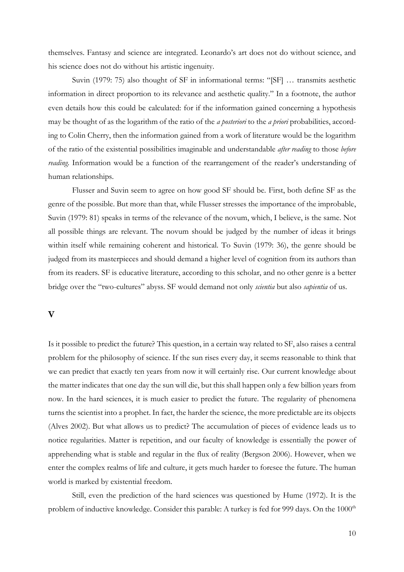themselves. Fantasy and science are integrated. Leonardo's art does not do without science, and his science does not do without his artistic ingenuity.

Suvin (1979: 75) also thought of SF in informational terms: "[SF] … transmits aesthetic information in direct proportion to its relevance and aesthetic quality." In a footnote, the author even details how this could be calculated: for if the information gained concerning a hypothesis may be thought of as the logarithm of the ratio of the *a posteriori* to the *a priori* probabilities, according to Colin Cherry, then the information gained from a work of literature would be the logarithm of the ratio of the existential possibilities imaginable and understandable *after reading* to those *before reading*. Information would be a function of the rearrangement of the reader's understanding of human relationships.

Flusser and Suvin seem to agree on how good SF should be. First, both define SF as the genre of the possible. But more than that, while Flusser stresses the importance of the improbable, Suvin (1979: 81) speaks in terms of the relevance of the novum, which, I believe, is the same. Not all possible things are relevant. The novum should be judged by the number of ideas it brings within itself while remaining coherent and historical. To Suvin (1979: 36), the genre should be judged from its masterpieces and should demand a higher level of cognition from its authors than from its readers. SF is educative literature, according to this scholar, and no other genre is a better bridge over the "two-cultures" abyss. SF would demand not only *scientia* but also *sapientia* of us.

#### **V**

Is it possible to predict the future? This question, in a certain way related to SF, also raises a central problem for the philosophy of science. If the sun rises every day, it seems reasonable to think that we can predict that exactly ten years from now it will certainly rise. Our current knowledge about the matter indicates that one day the sun will die, but this shall happen only a few billion years from now. In the hard sciences, it is much easier to predict the future. The regularity of phenomena turns the scientist into a prophet. In fact, the harder the science, the more predictable are its objects (Alves 2002). But what allows us to predict? The accumulation of pieces of evidence leads us to notice regularities. Matter is repetition, and our faculty of knowledge is essentially the power of apprehending what is stable and regular in the flux of reality (Bergson 2006). However, when we enter the complex realms of life and culture, it gets much harder to foresee the future. The human world is marked by existential freedom.

Still, even the prediction of the hard sciences was questioned by Hume (1972). It is the problem of inductive knowledge. Consider this parable: A turkey is fed for 999 days. On the 1000<sup>th</sup>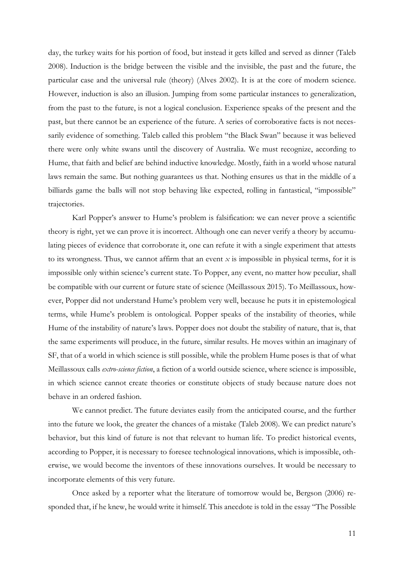day, the turkey waits for his portion of food, but instead it gets killed and served as dinner (Taleb 2008). Induction is the bridge between the visible and the invisible, the past and the future, the particular case and the universal rule (theory) (Alves 2002). It is at the core of modern science. However, induction is also an illusion. Jumping from some particular instances to generalization, from the past to the future, is not a logical conclusion. Experience speaks of the present and the past, but there cannot be an experience of the future. A series of corroborative facts is not necessarily evidence of something. Taleb called this problem "the Black Swan" because it was believed there were only white swans until the discovery of Australia. We must recognize, according to Hume, that faith and belief are behind inductive knowledge. Mostly, faith in a world whose natural laws remain the same. But nothing guarantees us that. Nothing ensures us that in the middle of a billiards game the balls will not stop behaving like expected, rolling in fantastical, "impossible" trajectories.

Karl Popper's answer to Hume's problem is falsification: we can never prove a scientific theory is right, yet we can prove it is incorrect. Although one can never verify a theory by accumulating pieces of evidence that corroborate it, one can refute it with a single experiment that attests to its wrongness. Thus, we cannot affirm that an event  $x$  is impossible in physical terms, for it is impossible only within science's current state. To Popper, any event, no matter how peculiar, shall be compatible with our current or future state of science (Meillassoux 2015). To Meillassoux, however, Popper did not understand Hume's problem very well, because he puts it in epistemological terms, while Hume's problem is ontological. Popper speaks of the instability of theories, while Hume of the instability of nature's laws. Popper does not doubt the stability of nature, that is, that the same experiments will produce, in the future, similar results. He moves within an imaginary of SF, that of a world in which science is still possible, while the problem Hume poses is that of what Meillassoux calls *extro-science fiction*, a fiction of a world outside science, where science is impossible, in which science cannot create theories or constitute objects of study because nature does not behave in an ordered fashion.

We cannot predict. The future deviates easily from the anticipated course, and the further into the future we look, the greater the chances of a mistake (Taleb 2008). We can predict nature's behavior, but this kind of future is not that relevant to human life. To predict historical events, according to Popper, it is necessary to foresee technological innovations, which is impossible, otherwise, we would become the inventors of these innovations ourselves. It would be necessary to incorporate elements of this very future.

Once asked by a reporter what the literature of tomorrow would be, Bergson (2006) responded that, if he knew, he would write it himself. This anecdote is told in the essay "The Possible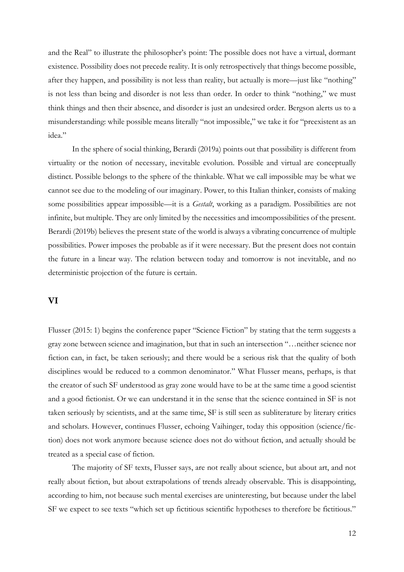and the Real" to illustrate the philosopher's point: The possible does not have a virtual, dormant existence. Possibility does not precede reality. It is only retrospectively that things become possible, after they happen, and possibility is not less than reality, but actually is more—just like "nothing" is not less than being and disorder is not less than order. In order to think "nothing," we must think things and then their absence, and disorder is just an undesired order. Bergson alerts us to a misunderstanding: while possible means literally "not impossible," we take it for "preexistent as an idea."

In the sphere of social thinking, Berardi (2019a) points out that possibility is different from virtuality or the notion of necessary, inevitable evolution. Possible and virtual are conceptually distinct. Possible belongs to the sphere of the thinkable. What we call impossible may be what we cannot see due to the modeling of our imaginary. Power, to this Italian thinker, consists of making some possibilities appear impossible—it is a *Gestalt*, working as a paradigm. Possibilities are not infinite, but multiple. They are only limited by the necessities and imcompossibilities of the present. Berardi (2019b) believes the present state of the world is always a vibrating concurrence of multiple possibilities. Power imposes the probable as if it were necessary. But the present does not contain the future in a linear way. The relation between today and tomorrow is not inevitable, and no deterministic projection of the future is certain.

# **VI**

Flusser (2015: 1) begins the conference paper "Science Fiction" by stating that the term suggests a gray zone between science and imagination, but that in such an intersection "…neither science nor fiction can, in fact, be taken seriously; and there would be a serious risk that the quality of both disciplines would be reduced to a common denominator." What Flusser means, perhaps, is that the creator of such SF understood as gray zone would have to be at the same time a good scientist and a good fictionist. Or we can understand it in the sense that the science contained in SF is not taken seriously by scientists, and at the same time, SF is still seen as subliterature by literary critics and scholars. However, continues Flusser, echoing Vaihinger, today this opposition (science/fiction) does not work anymore because science does not do without fiction, and actually should be treated as a special case of fiction.

The majority of SF texts, Flusser says, are not really about science, but about art, and not really about fiction, but about extrapolations of trends already observable. This is disappointing, according to him, not because such mental exercises are uninteresting, but because under the label SF we expect to see texts "which set up fictitious scientific hypotheses to therefore be fictitious."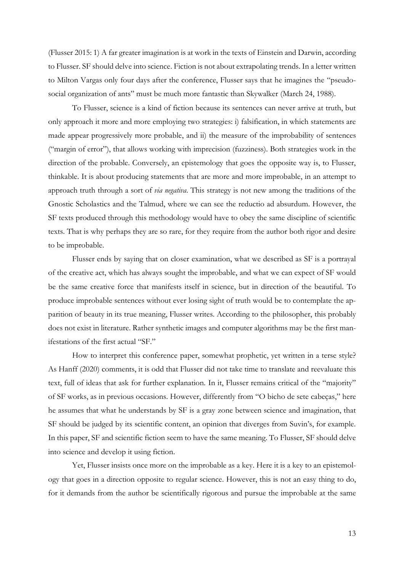(Flusser 2015: 1) A far greater imagination is at work in the texts of Einstein and Darwin, according to Flusser. SF should delve into science. Fiction is not about extrapolating trends. In a letter written to Milton Vargas only four days after the conference, Flusser says that he imagines the "pseudosocial organization of ants" must be much more fantastic than Skywalker (March 24, 1988).

To Flusser, science is a kind of fiction because its sentences can never arrive at truth, but only approach it more and more employing two strategies: i) falsification, in which statements are made appear progressively more probable, and ii) the measure of the improbability of sentences ("margin of error"), that allows working with imprecision (fuzziness). Both strategies work in the direction of the probable. Conversely, an epistemology that goes the opposite way is, to Flusser, thinkable. It is about producing statements that are more and more improbable, in an attempt to approach truth through a sort of *via negativa*. This strategy is not new among the traditions of the Gnostic Scholastics and the Talmud, where we can see the reductio ad absurdum. However, the SF texts produced through this methodology would have to obey the same discipline of scientific texts. That is why perhaps they are so rare, for they require from the author both rigor and desire to be improbable.

Flusser ends by saying that on closer examination, what we described as SF is a portrayal of the creative act, which has always sought the improbable, and what we can expect of SF would be the same creative force that manifests itself in science, but in direction of the beautiful. To produce improbable sentences without ever losing sight of truth would be to contemplate the apparition of beauty in its true meaning, Flusser writes. According to the philosopher, this probably does not exist in literature. Rather synthetic images and computer algorithms may be the first manifestations of the first actual "SF."

How to interpret this conference paper, somewhat prophetic, yet written in a terse style? As Hanff (2020) comments, it is odd that Flusser did not take time to translate and reevaluate this text, full of ideas that ask for further explanation. In it, Flusser remains critical of the "majority" of SF works, as in previous occasions. However, differently from "O bicho de sete cabeças," here he assumes that what he understands by SF is a gray zone between science and imagination, that SF should be judged by its scientific content, an opinion that diverges from Suvin's, for example. In this paper, SF and scientific fiction seem to have the same meaning. To Flusser, SF should delve into science and develop it using fiction.

Yet, Flusser insists once more on the improbable as a key. Here it is a key to an epistemology that goes in a direction opposite to regular science. However, this is not an easy thing to do, for it demands from the author be scientifically rigorous and pursue the improbable at the same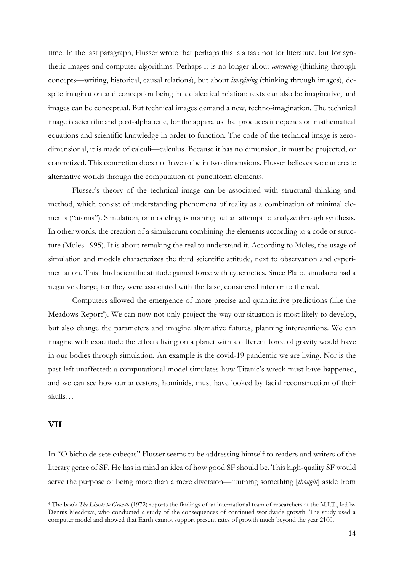time. In the last paragraph, Flusser wrote that perhaps this is a task not for literature, but for synthetic images and computer algorithms. Perhaps it is no longer about *conceiving* (thinking through concepts—writing, historical, causal relations), but about *imagining* (thinking through images), despite imagination and conception being in a dialectical relation: texts can also be imaginative, and images can be conceptual. But technical images demand a new, techno-imagination. The technical image is scientific and post-alphabetic, for the apparatus that produces it depends on mathematical equations and scientific knowledge in order to function. The code of the technical image is zerodimensional, it is made of calculi—calculus. Because it has no dimension, it must be projected, or concretized. This concretion does not have to be in two dimensions. Flusser believes we can create alternative worlds through the computation of punctiform elements.

Flusser's theory of the technical image can be associated with structural thinking and method, which consist of understanding phenomena of reality as a combination of minimal elements ("atoms"). Simulation, or modeling, is nothing but an attempt to analyze through synthesis. In other words, the creation of a simulacrum combining the elements according to a code or structure (Moles 1995). It is about remaking the real to understand it. According to Moles, the usage of simulation and models characterizes the third scientific attitude, next to observation and experimentation. This third scientific attitude gained force with cybernetics. Since Plato, simulacra had a negative charge, for they were associated with the false, considered inferior to the real.

Computers allowed the emergence of more precise and quantitative predictions (like the Meadows Report<sup>4</sup>). We can now not only project the way our situation is most likely to develop, but also change the parameters and imagine alternative futures, planning interventions. We can imagine with exactitude the effects living on a planet with a different force of gravity would have in our bodies through simulation. An example is the covid-19 pandemic we are living. Nor is the past left unaffected: a computational model simulates how Titanic's wreck must have happened, and we can see how our ancestors, hominids, must have looked by facial reconstruction of their skulls…

## **VII**

 $\overline{a}$ 

In "O bicho de sete cabeças" Flusser seems to be addressing himself to readers and writers of the literary genre of SF. He has in mind an idea of how good SF should be. This high-quality SF would serve the purpose of being more than a mere diversion—"turning something [*thought*] aside from

<sup>4</sup> The book *The Limits to Growth* (1972) reports the findings of an international team of researchers at the M.I.T., led by Dennis Meadows, who conducted a study of the consequences of continued worldwide growth. The study used a computer model and showed that Earth cannot support present rates of growth much beyond the year 2100.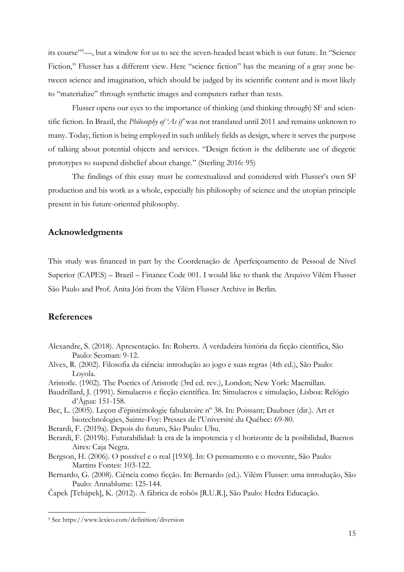its course" <sup>5</sup>—, but a window for us to see the seven-headed beast which is our future. In "Science Fiction," Flusser has a different view. Here "science fiction" has the meaning of a gray zone between science and imagination, which should be judged by its scientific content and is most likely to "materialize" through synthetic images and computers rather than texts.

Flusser opens our eyes to the importance of thinking (and thinking through) SF and scientific fiction. In Brazil, the *Philosophy of 'As if'* was not translated until 2011 and remains unknown to many. Today, fiction is being employed in such unlikely fields as design, where it serves the purpose of talking about potential objects and services. "Design fiction is the deliberate use of diegetic prototypes to suspend disbelief about change." (Sterling 2016: 95)

The findings of this essay must be contextualized and considered with Flusser's own SF production and his work as a whole, especially his philosophy of science and the utopian principle present in his future-oriented philosophy.

## **Acknowledgments**

This study was financed in part by the Coordenação de Aperfeiçoamento de Pessoal de Nível Superior (CAPES) – Brazil – Finance Code 001. I would like to thank the Arquivo Vilém Flusser São Paulo and Prof. Anita Jóri from the Vilém Flusser Archive in Berlin.

## **References**

 $\overline{a}$ 

- Alexandre, S. (2018). Apresentação. In: Roberts. A verdadeira história da ficção científica, São Paulo: Seoman: 9-12.
- Alves, R. (2002). Filosofia da ciência: introdução ao jogo e suas regras (4th ed.), São Paulo: Loyola.
- Aristotle. (1902). The Poetics of Aristotle (3rd ed. rev.), London; New York: Macmillan.
- Baudrillard, J. (1991). Simulacros e ficção científica. In: Simulacros e simulação, Lisboa: Relógio d'Água: 151-158.
- Bec, L. (2005). Leçon d'épistémologie fabulatoire nº 38. In: Poissant; Daubner (dir.). Art et biotechnologies, Sainte-Foy: Presses de l'Université du Québec: 69-80.

Berardi, F. (2019a). Depois do futuro, São Paulo: Ubu.

- Berardi, F. (2019b). Futurabilidad: la era de la impotencia y el horizonte de la posibilidad, Buenos Aires: Caja Negra.
- Bergson, H. (2006). O possível e o real [1930]. In: O pensamento e o movente, São Paulo: Martins Fontes: 103-122.
- Bernardo, G. (2008). Ciência como ficção. In: Bernardo (ed.). Vilém Flusser: uma introdução, São Paulo: Annablume: 125-144.
- Čapek [Tchápek], K. (2012). A fábrica de robôs [R.U.R.], São Paulo: Hedra Educação.

<sup>5</sup> See https://www.lexico.com/definition/diversion